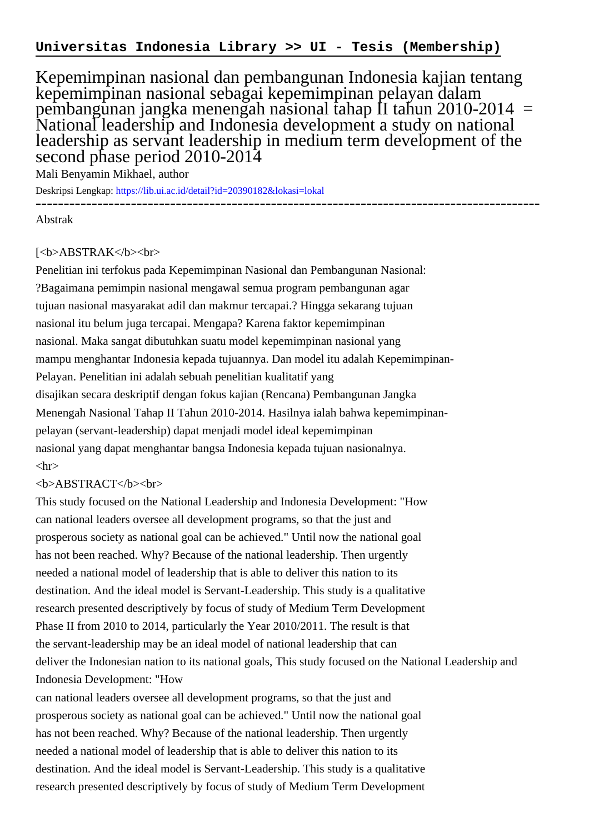Kepemimpinan nasional dan pembangunan Indonesia kajian tentang kepemimpinan nasional sebagai kepemimpinan pelayan dalam pembangunan jangka menengah nasional tahap II tahun 2010-2014 = National leadership and Indonesia development a study on national leadership as servant leadership in medium term development of the second phase period 2010-2014

Mali Benyamin Mikhael, author

Deskripsi Lengkap:<https://lib.ui.ac.id/detail?id=20390182&lokasi=lokal> ------------------------------------------------------------------------------------------

Abstrak

## [<b>ABSTRAK</b><br>

Penelitian ini terfokus pada Kepemimpinan Nasional dan Pembangunan Nasional: ?Bagaimana pemimpin nasional mengawal semua program pembangunan agar tujuan nasional masyarakat adil dan makmur tercapai.? Hingga sekarang tujuan nasional itu belum juga tercapai. Mengapa? Karena faktor kepemimpinan nasional. Maka sangat dibutuhkan suatu model kepemimpinan nasional yang mampu menghantar Indonesia kepada tujuannya. Dan model itu adalah Kepemimpinan-Pelayan. Penelitian ini adalah sebuah penelitian kualitatif yang disajikan secara deskriptif dengan fokus kajian (Rencana) Pembangunan Jangka Menengah Nasional Tahap II Tahun 2010-2014. Hasilnya ialah bahwa kepemimpinanpelayan (servant-leadership) dapat menjadi model ideal kepemimpinan nasional yang dapat menghantar bangsa Indonesia kepada tujuan nasionalnya.  $\langle$ hr $>$ 

## <b>ABSTRACT</b><br>

This study focused on the National Leadership and Indonesia Development: "How can national leaders oversee all development programs, so that the just and prosperous society as national goal can be achieved." Until now the national goal has not been reached. Why? Because of the national leadership. Then urgently needed a national model of leadership that is able to deliver this nation to its destination. And the ideal model is Servant-Leadership. This study is a qualitative research presented descriptively by focus of study of Medium Term Development Phase II from 2010 to 2014, particularly the Year 2010/2011. The result is that the servant-leadership may be an ideal model of national leadership that can deliver the Indonesian nation to its national goals, This study focused on the National Leadership and Indonesia Development: "How

can national leaders oversee all development programs, so that the just and prosperous society as national goal can be achieved." Until now the national goal has not been reached. Why? Because of the national leadership. Then urgently needed a national model of leadership that is able to deliver this nation to its destination. And the ideal model is Servant-Leadership. This study is a qualitative research presented descriptively by focus of study of Medium Term Development